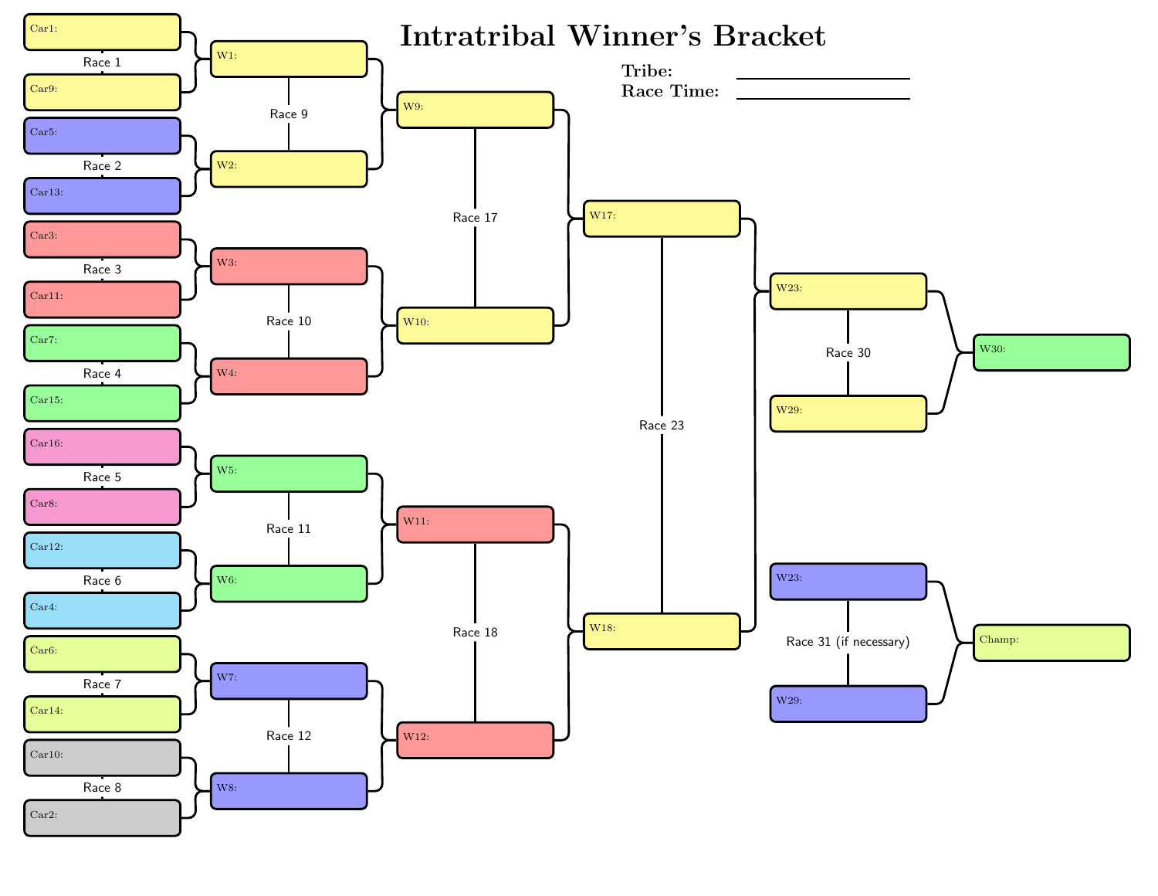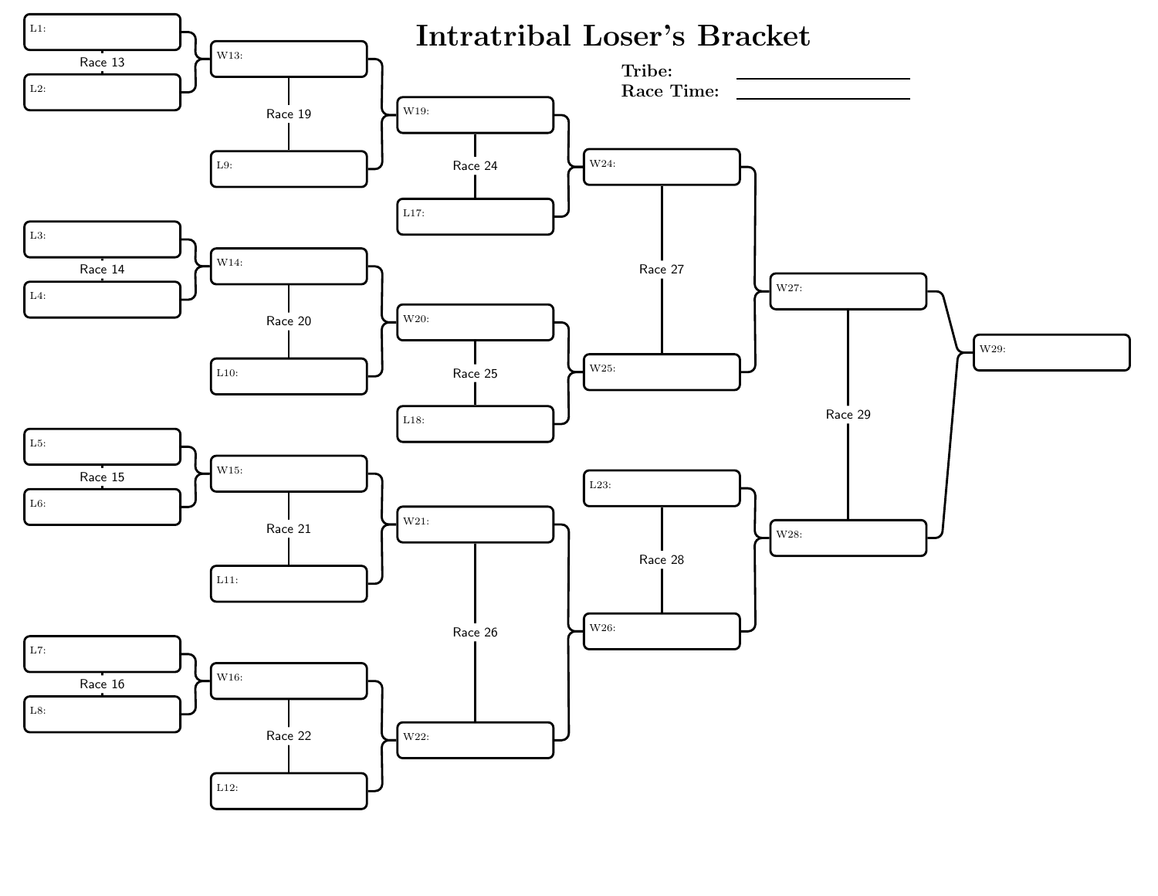